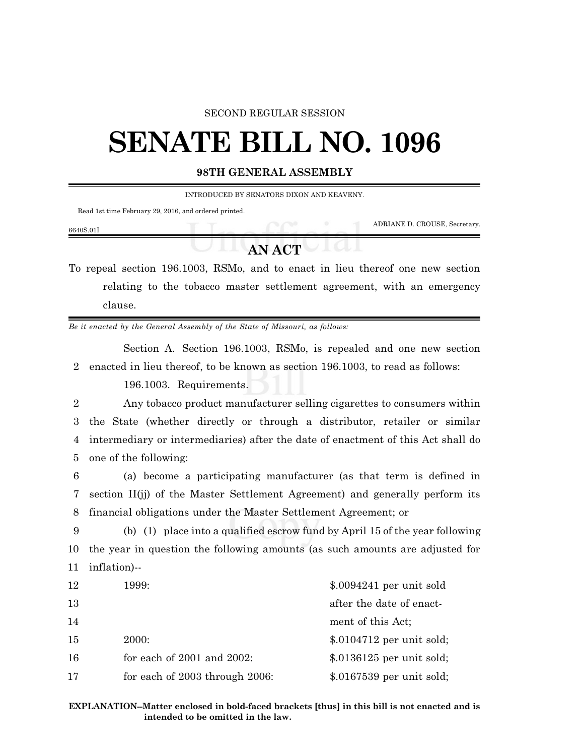## SECOND REGULAR SESSION

## **SENATE BILL NO. 1096**

## **98TH GENERAL ASSEMBLY**

INTRODUCED BY SENATORS DIXON AND KEAVENY.

Read 1st time February 29, 2016, and ordered printed.

| 6640S.01I |               | ADRIANE D. CROUSE, Secretary. |
|-----------|---------------|-------------------------------|
|           | <b>AN ACT</b> |                               |

To repeal section 196.1003, RSMo, and to enact in lieu thereof one new section relating to the tobacco master settlement agreement, with an emergency clause.

*Be it enacted by the General Assembly of the State of Missouri, as follows:*

Section A. Section 196.1003, RSMo, is repealed and one new section 2 enacted in lieu thereof, to be known as section 196.1003, to read as follows:

196.1003. Requirements.

 Any tobacco product manufacturer selling cigarettes to consumers within the State (whether directly or through a distributor, retailer or similar intermediary or intermediaries) after the date of enactment of this Act shall do one of the following:

6 (a) become a participating manufacturer (as that term is defined in 7 section II(jj) of the Master Settlement Agreement) and generally perform its 8 financial obligations under the Master Settlement Agreement; or

9 (b) (1) place into a qualified escrow fund by April 15 of the year following 10 the year in question the following amounts (as such amounts are adjusted for 11 inflation)--

| 12  | 1999:                           | $$.0094241$ per unit sold  |
|-----|---------------------------------|----------------------------|
| -13 |                                 | after the date of enact-   |
| 14  |                                 | ment of this Act;          |
| -15 | <b>2000:</b>                    | $$.0104712$ per unit sold; |
| -16 | for each of $2001$ and $2002$ : | $$.0136125$ per unit sold; |
| 17  | for each of 2003 through 2006:  | $$.0167539$ per unit sold; |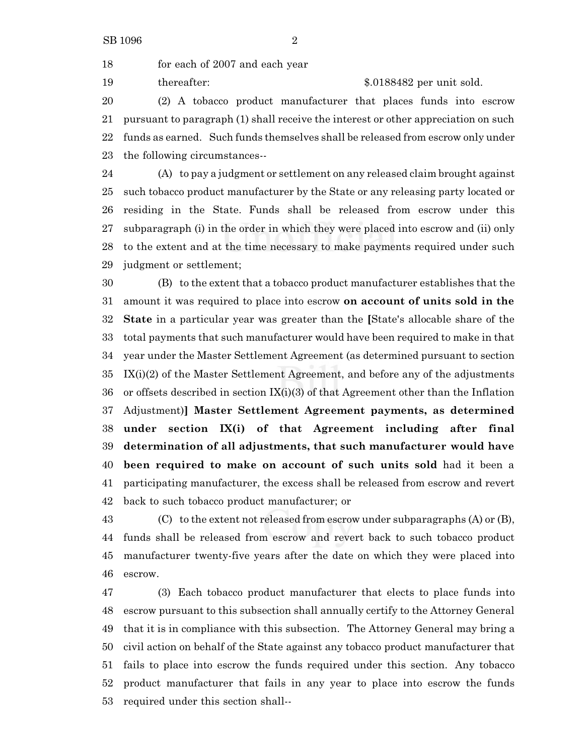for each of 2007 and each year

19 thereafter: \$.0188482 per unit sold.

 (2) A tobacco product manufacturer that places funds into escrow pursuant to paragraph (1) shall receive the interest or other appreciation on such funds as earned. Such funds themselves shall be released from escrow only under the following circumstances--

 (A) to pay a judgment or settlement on any released claim brought against such tobacco product manufacturer by the State or any releasing party located or residing in the State. Funds shall be released from escrow under this subparagraph (i) in the order in which they were placed into escrow and (ii) only to the extent and at the time necessary to make payments required under such judgment or settlement;

 (B) to the extent that a tobacco product manufacturer establishes that the amount it was required to place into escrow **on account of units sold in the State** in a particular year was greater than the **[**State's allocable share of the total payments that such manufacturer would have been required to make in that year under the Master Settlement Agreement (as determined pursuant to section IX(i)(2) of the Master Settlement Agreement, and before any of the adjustments or offsets described in section IX(i)(3) of that Agreement other than the Inflation Adjustment)**] Master Settlement Agreement payments, as determined under section IX(i) of that Agreement including after final determination of all adjustments, that such manufacturer would have been required to make on account of such units sold** had it been a participating manufacturer, the excess shall be released from escrow and revert back to such tobacco product manufacturer; or

 (C) to the extent not released from escrow under subparagraphs (A) or (B), funds shall be released from escrow and revert back to such tobacco product manufacturer twenty-five years after the date on which they were placed into escrow.

 (3) Each tobacco product manufacturer that elects to place funds into escrow pursuant to this subsection shall annually certify to the Attorney General that it is in compliance with this subsection. The Attorney General may bring a civil action on behalf of the State against any tobacco product manufacturer that fails to place into escrow the funds required under this section. Any tobacco product manufacturer that fails in any year to place into escrow the funds required under this section shall--